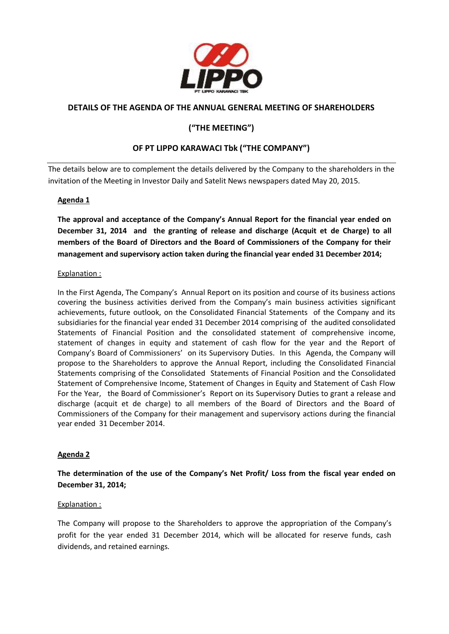

# **DETAILS OF THE AGENDA OF THE ANNUAL GENERAL MEETING OF SHAREHOLDERS**

# **("THE MEETING")**

# **OF PT LIPPO KARAWACI Tbk ("THE COMPANY")**

The details below are to complement the details delivered by the Company to the shareholders in the invitation of the Meeting in Investor Daily and Satelit News newspapers dated May 20, 2015.

#### **Agenda 1**

**The approval and acceptance of the Company's Annual Report for the financial year ended on December 31, 2014 and the granting of release and discharge (Acquit et de Charge) to all members of the Board of Directors and the Board of Commissioners of the Company for their management and supervisory action taken during the financial year ended 31 December 2014;**

#### Explanation :

In the First Agenda, The Company's Annual Report on its position and course of its business actions covering the business activities derived from the Company's main business activities significant achievements, future outlook, on the Consolidated Financial Statements of the Company and its subsidiaries for the financial year ended 31 December 2014 comprising of the audited consolidated Statements of Financial Position and the consolidated statement of comprehensive income, statement of changes in equity and statement of cash flow for the year and the Report of Company's Board of Commissioners' on its Supervisory Duties. In this Agenda, the Company will propose to the Shareholders to approve the Annual Report, including the Consolidated Financial Statements comprising of the Consolidated Statements of Financial Position and the Consolidated Statement of Comprehensive Income, Statement of Changes in Equity and Statement of Cash Flow For the Year, the Board of Commissioner's Report on its Supervisory Duties to grant a release and discharge (acquit et de charge) to all members of the Board of Directors and the Board of Commissioners of the Company for their management and supervisory actions during the financial year ended 31 December 2014.

### **Agenda 2**

**The determination of the use of the Company's Net Profit/ Loss from the fiscal year ended on December 31, 2014;** 

#### Explanation :

The Company will propose to the Shareholders to approve the appropriation of the Company's profit for the year ended 31 December 2014, which will be allocated for reserve funds, cash dividends, and retained earnings.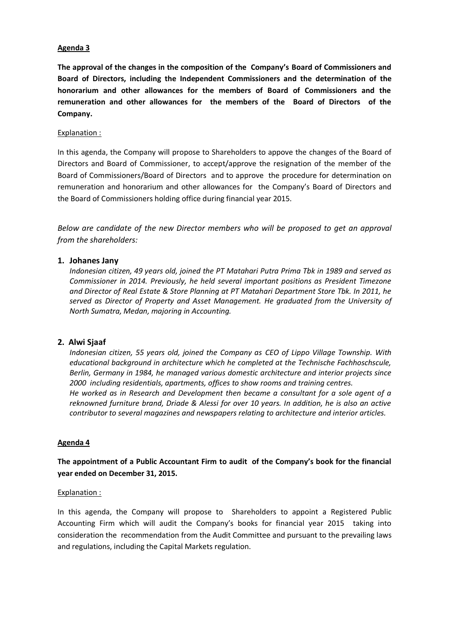#### **Agenda 3**

**The approval of the changes in the composition of the Company's Board of Commissioners and Board of Directors, including the Independent Commissioners and the determination of the honorarium and other allowances for the members of Board of Commissioners and the remuneration and other allowances for the members of the Board of Directors of the Company.**

#### Explanation :

In this agenda, the Company will propose to Shareholders to appove the changes of the Board of Directors and Board of Commissioner, to accept/approve the resignation of the member of the Board of Commissioners/Board of Directors and to approve the procedure for determination on remuneration and honorarium and other allowances for the Company's Board of Directors and the Board of Commissioners holding office during financial year 2015.

*Below are candidate of the new Director members who will be proposed to get an approval from the shareholders:*

#### **1. Johanes Jany**

*Indonesian citizen, 49 years old, joined the PT Matahari Putra Prima Tbk in 1989 and served as Commissioner in 2014. Previously, he held several important positions as President Timezone and Director of Real Estate & Store Planning at PT Matahari Department Store Tbk. In 2011, he served as Director of Property and Asset Management. He graduated from the University of North Sumatra, Medan, majoring in Accounting.*

#### **2. Alwi Sjaaf**

*Indonesian citizen, 55 years old, joined the Company as CEO of Lippo Village Township. With educational background in architecture which he completed at the Technische Fachhoschscule, Berlin, Germany in 1984, he managed various domestic architecture and interior projects since 2000 including residentials, apartments, offices to show rooms and training centres. He worked as in Research and Development then became a consultant for a sole agent of a reknowned furniture brand, Driade & Alessi for over 10 years. In addition, he is also an active contributor to several magazines and newspapers relating to architecture and interior articles.*

#### **Agenda 4**

**The appointment of a Public Accountant Firm to audit of the Company's book for the financial year ended on December 31, 2015.** 

#### Explanation :

In this agenda, the Company will propose to Shareholders to appoint a Registered Public Accounting Firm which will audit the Company's books for financial year 2015 taking into consideration the recommendation from the Audit Committee and pursuant to the prevailing laws and regulations, including the Capital Markets regulation.